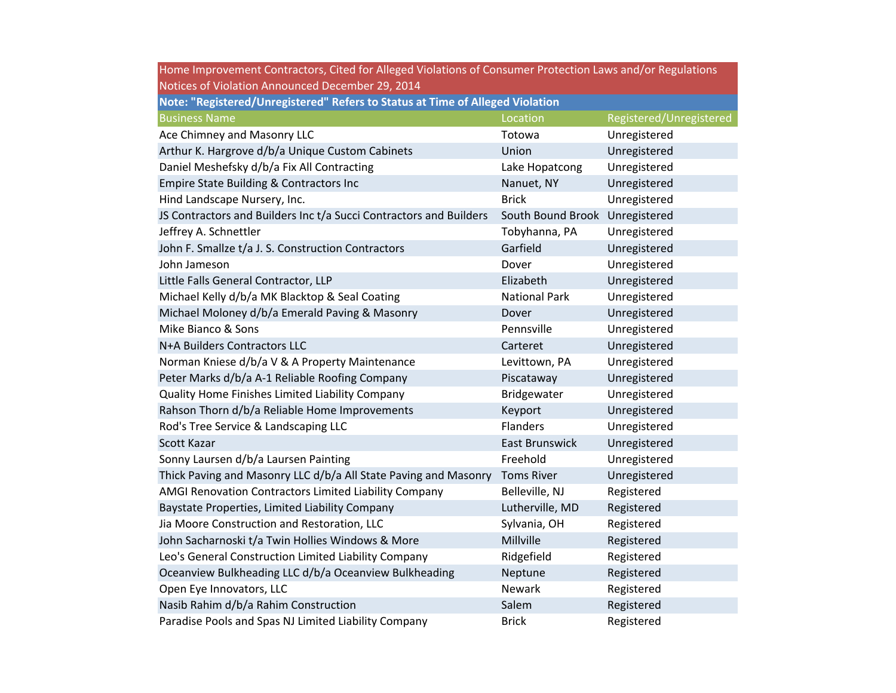| Home Improvement Contractors, Cited for Alleged Violations of Consumer Protection Laws and/or Regulations |                                |                         |  |
|-----------------------------------------------------------------------------------------------------------|--------------------------------|-------------------------|--|
| Notices of Violation Announced December 29, 2014                                                          |                                |                         |  |
| Note: "Registered/Unregistered" Refers to Status at Time of Alleged Violation                             |                                |                         |  |
| <b>Business Name</b>                                                                                      | Location                       | Registered/Unregistered |  |
| Ace Chimney and Masonry LLC                                                                               | Totowa                         | Unregistered            |  |
| Arthur K. Hargrove d/b/a Unique Custom Cabinets                                                           | Union                          | Unregistered            |  |
| Daniel Meshefsky d/b/a Fix All Contracting                                                                | Lake Hopatcong                 | Unregistered            |  |
| Empire State Building & Contractors Inc                                                                   | Nanuet, NY                     | Unregistered            |  |
| Hind Landscape Nursery, Inc.                                                                              | <b>Brick</b>                   | Unregistered            |  |
| JS Contractors and Builders Inc t/a Succi Contractors and Builders                                        | South Bound Brook Unregistered |                         |  |
| Jeffrey A. Schnettler                                                                                     | Tobyhanna, PA                  | Unregistered            |  |
| John F. Smallze t/a J. S. Construction Contractors                                                        | Garfield                       | Unregistered            |  |
| John Jameson                                                                                              | Dover                          | Unregistered            |  |
| Little Falls General Contractor, LLP                                                                      | Elizabeth                      | Unregistered            |  |
| Michael Kelly d/b/a MK Blacktop & Seal Coating                                                            | <b>National Park</b>           | Unregistered            |  |
| Michael Moloney d/b/a Emerald Paving & Masonry                                                            | Dover                          | Unregistered            |  |
| Mike Bianco & Sons                                                                                        | Pennsville                     | Unregistered            |  |
| N+A Builders Contractors LLC                                                                              | Carteret                       | Unregistered            |  |
| Norman Kniese d/b/a V & A Property Maintenance                                                            | Levittown, PA                  | Unregistered            |  |
| Peter Marks d/b/a A-1 Reliable Roofing Company                                                            | Piscataway                     | Unregistered            |  |
| Quality Home Finishes Limited Liability Company                                                           | Bridgewater                    | Unregistered            |  |
| Rahson Thorn d/b/a Reliable Home Improvements                                                             | Keyport                        | Unregistered            |  |
| Rod's Tree Service & Landscaping LLC                                                                      | Flanders                       | Unregistered            |  |
| Scott Kazar                                                                                               | East Brunswick                 | Unregistered            |  |
| Sonny Laursen d/b/a Laursen Painting                                                                      | Freehold                       | Unregistered            |  |
| Thick Paving and Masonry LLC d/b/a All State Paving and Masonry                                           | <b>Toms River</b>              | Unregistered            |  |
| AMGI Renovation Contractors Limited Liability Company                                                     | Belleville, NJ                 | Registered              |  |
| Baystate Properties, Limited Liability Company                                                            | Lutherville, MD                | Registered              |  |
| Jia Moore Construction and Restoration, LLC                                                               | Sylvania, OH                   | Registered              |  |
| John Sacharnoski t/a Twin Hollies Windows & More                                                          | Millville                      | Registered              |  |
| Leo's General Construction Limited Liability Company                                                      | Ridgefield                     | Registered              |  |
| Oceanview Bulkheading LLC d/b/a Oceanview Bulkheading                                                     | Neptune                        | Registered              |  |
| Open Eye Innovators, LLC                                                                                  | Newark                         | Registered              |  |
| Nasib Rahim d/b/a Rahim Construction                                                                      | Salem                          | Registered              |  |
| Paradise Pools and Spas NJ Limited Liability Company                                                      | <b>Brick</b>                   | Registered              |  |